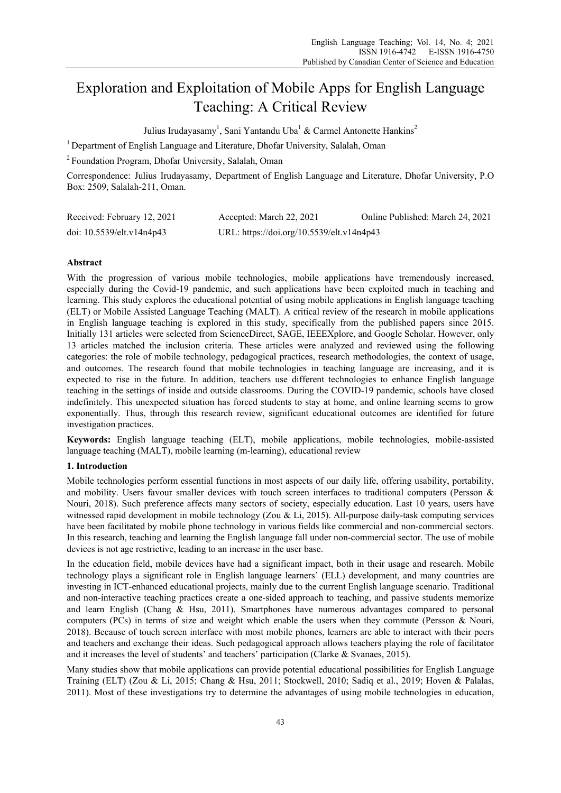# Exploration and Exploitation of Mobile Apps for English Language Teaching: A Critical Review

Julius Irudayasamy<sup>1</sup>, Sani Yantandu Uba<sup>1</sup> & Carmel Antonette Hankins<sup>2</sup>

<sup>1</sup> Department of English Language and Literature, Dhofar University, Salalah, Oman

2 Foundation Program, Dhofar University, Salalah, Oman

Correspondence: Julius Irudayasamy, Department of English Language and Literature, Dhofar University, P.O Box: 2509, Salalah-211, Oman.

| Received: February 12, 2021 | Accepted: March 22, 2021                  | Online Published: March 24, 2021 |
|-----------------------------|-------------------------------------------|----------------------------------|
| doi: 10.5539/elt.v14n4p43   | URL: https://doi.org/10.5539/elt.v14n4p43 |                                  |

## **Abstract**

With the progression of various mobile technologies, mobile applications have tremendously increased, especially during the Covid-19 pandemic, and such applications have been exploited much in teaching and learning. This study explores the educational potential of using mobile applications in English language teaching (ELT) or Mobile Assisted Language Teaching (MALT). A critical review of the research in mobile applications in English language teaching is explored in this study, specifically from the published papers since 2015. Initially 131 articles were selected from ScienceDirect, SAGE, IEEEXplore, and Google Scholar. However, only 13 articles matched the inclusion criteria. These articles were analyzed and reviewed using the following categories: the role of mobile technology, pedagogical practices, research methodologies, the context of usage, and outcomes. The research found that mobile technologies in teaching language are increasing, and it is expected to rise in the future. In addition, teachers use different technologies to enhance English language teaching in the settings of inside and outside classrooms. During the COVID-19 pandemic, schools have closed indefinitely. This unexpected situation has forced students to stay at home, and online learning seems to grow exponentially. Thus, through this research review, significant educational outcomes are identified for future investigation practices.

**Keywords:** English language teaching (ELT), mobile applications, mobile technologies, mobile-assisted language teaching (MALT), mobile learning (m-learning), educational review

## **1. Introduction**

Mobile technologies perform essential functions in most aspects of our daily life, offering usability, portability, and mobility. Users favour smaller devices with touch screen interfaces to traditional computers (Persson & Nouri, 2018). Such preference affects many sectors of society, especially education. Last 10 years, users have witnessed rapid development in mobile technology (Zou & Li, 2015). All-purpose daily-task computing services have been facilitated by mobile phone technology in various fields like commercial and non-commercial sectors. In this research, teaching and learning the English language fall under non-commercial sector. The use of mobile devices is not age restrictive, leading to an increase in the user base.

In the education field, mobile devices have had a significant impact, both in their usage and research. Mobile technology plays a significant role in English language learners' (ELL) development, and many countries are investing in ICT-enhanced educational projects, mainly due to the current English language scenario. Traditional and non-interactive teaching practices create a one-sided approach to teaching, and passive students memorize and learn English (Chang & Hsu, 2011). Smartphones have numerous advantages compared to personal computers (PCs) in terms of size and weight which enable the users when they commute (Persson & Nouri, 2018). Because of touch screen interface with most mobile phones, learners are able to interact with their peers and teachers and exchange their ideas. Such pedagogical approach allows teachers playing the role of facilitator and it increases the level of students' and teachers' participation (Clarke & Svanaes, 2015).

Many studies show that mobile applications can provide potential educational possibilities for English Language Training (ELT) (Zou & Li, 2015; Chang & Hsu, 2011; Stockwell, 2010; Sadiq et al., 2019; Hoven & Palalas, 2011). Most of these investigations try to determine the advantages of using mobile technologies in education,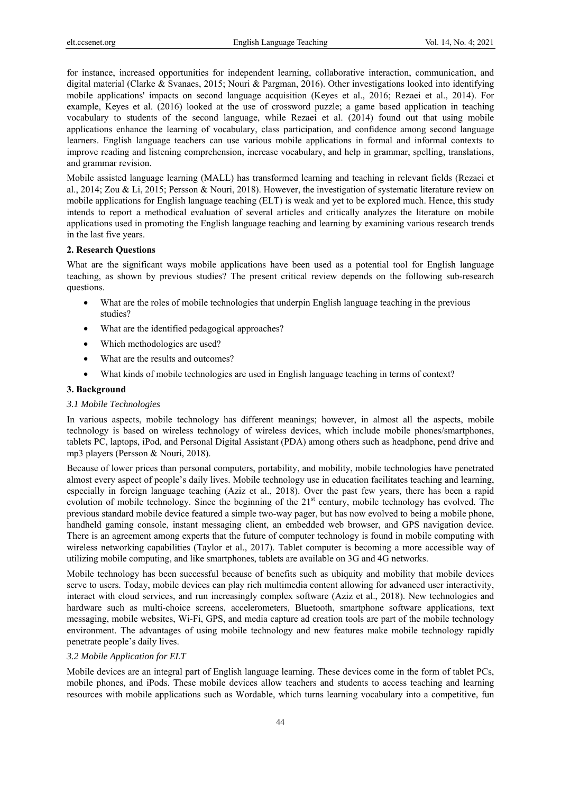for instance, increased opportunities for independent learning, collaborative interaction, communication, and digital material (Clarke & Svanaes, 2015; Nouri & Pargman, 2016). Other investigations looked into identifying mobile applications' impacts on second language acquisition (Keyes et al., 2016; Rezaei et al., 2014). For example, Keyes et al. (2016) looked at the use of crossword puzzle; a game based application in teaching vocabulary to students of the second language, while Rezaei et al. (2014) found out that using mobile applications enhance the learning of vocabulary, class participation, and confidence among second language learners. English language teachers can use various mobile applications in formal and informal contexts to improve reading and listening comprehension, increase vocabulary, and help in grammar, spelling, translations, and grammar revision.

Mobile assisted language learning (MALL) has transformed learning and teaching in relevant fields (Rezaei et al., 2014; Zou & Li, 2015; Persson & Nouri, 2018). However, the investigation of systematic literature review on mobile applications for English language teaching (ELT) is weak and yet to be explored much. Hence, this study intends to report a methodical evaluation of several articles and critically analyzes the literature on mobile applications used in promoting the English language teaching and learning by examining various research trends in the last five years.

## **2. Research Questions**

What are the significant ways mobile applications have been used as a potential tool for English language teaching, as shown by previous studies? The present critical review depends on the following sub-research questions.

- What are the roles of mobile technologies that underpin English language teaching in the previous studies?
- What are the identified pedagogical approaches?
- Which methodologies are used?
- What are the results and outcomes?
- What kinds of mobile technologies are used in English language teaching in terms of context?

#### **3. Background**

## *3.1 Mobile Technologies*

In various aspects, mobile technology has different meanings; however, in almost all the aspects, mobile technology is based on wireless technology of wireless devices, which include mobile phones/smartphones, tablets PC, laptops, iPod, and Personal Digital Assistant (PDA) among others such as headphone, pend drive and mp3 players (Persson & Nouri, 2018).

Because of lower prices than personal computers, portability, and mobility, mobile technologies have penetrated almost every aspect of people's daily lives. Mobile technology use in education facilitates teaching and learning, especially in foreign language teaching (Aziz et al., 2018). Over the past few years, there has been a rapid evolution of mobile technology. Since the beginning of the 21<sup>st</sup> century, mobile technology has evolved. The previous standard mobile device featured a simple two-way pager, but has now evolved to being a mobile phone, handheld gaming console, instant messaging client, an embedded web browser, and GPS navigation device. There is an agreement among experts that the future of computer technology is found in mobile computing with wireless networking capabilities (Taylor et al., 2017). Tablet computer is becoming a more accessible way of utilizing mobile computing, and like smartphones, tablets are available on 3G and 4G networks.

Mobile technology has been successful because of benefits such as ubiquity and mobility that mobile devices serve to users. Today, mobile devices can play rich multimedia content allowing for advanced user interactivity, interact with cloud services, and run increasingly complex software (Aziz et al., 2018). New technologies and hardware such as multi-choice screens, accelerometers, Bluetooth, smartphone software applications, text messaging, mobile websites, Wi-Fi, GPS, and media capture ad creation tools are part of the mobile technology environment. The advantages of using mobile technology and new features make mobile technology rapidly penetrate people's daily lives.

#### *3.2 Mobile Application for ELT*

Mobile devices are an integral part of English language learning. These devices come in the form of tablet PCs, mobile phones, and iPods. These mobile devices allow teachers and students to access teaching and learning resources with mobile applications such as Wordable, which turns learning vocabulary into a competitive, fun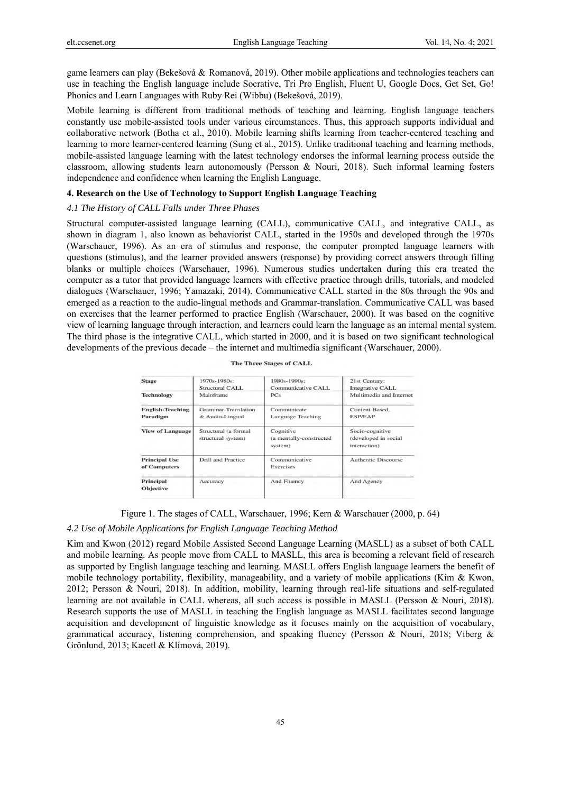game learners can play (Bekešová & Romanová, 2019). Other mobile applications and technologies teachers can use in teaching the English language include Socrative, Tri Pro English, Fluent U, Google Docs, Get Set, Go! Phonics and Learn Languages with Ruby Rei (Wibbu) (Bekešová, 2019).

Mobile learning is different from traditional methods of teaching and learning. English language teachers constantly use mobile-assisted tools under various circumstances. Thus, this approach supports individual and collaborative network (Botha et al., 2010). Mobile learning shifts learning from teacher-centered teaching and learning to more learner-centered learning (Sung et al., 2015). Unlike traditional teaching and learning methods, mobile-assisted language learning with the latest technology endorses the informal learning process outside the classroom, allowing students learn autonomously (Persson & Nouri, 2018). Such informal learning fosters independence and confidence when learning the English Language.

# **4. Research on the Use of Technology to Support English Language Teaching**

#### *4.1 The History of CALL Falls under Three Phases*

Structural computer-assisted language learning (CALL), communicative CALL, and integrative CALL, as shown in diagram 1, also known as behaviorist CALL, started in the 1950s and developed through the 1970s (Warschauer, 1996). As an era of stimulus and response, the computer prompted language learners with questions (stimulus), and the learner provided answers (response) by providing correct answers through filling blanks or multiple choices (Warschauer, 1996). Numerous studies undertaken during this era treated the computer as a tutor that provided language learners with effective practice through drills, tutorials, and modeled dialogues (Warschauer, 1996; Yamazaki, 2014). Communicative CALL started in the 80s through the 90s and emerged as a reaction to the audio-lingual methods and Grammar-translation. Communicative CALL was based on exercises that the learner performed to practice English (Warschauer, 2000). It was based on the cognitive view of learning language through interaction, and learners could learn the language as an internal mental system. The third phase is the integrative CALL, which started in 2000, and it is based on two significant technological developments of the previous decade – the internet and multimedia significant (Warschauer, 2000).

|  | The Three Stages of CALL |  |
|--|--------------------------|--|
|  |                          |  |

| <b>Stage</b>                         | 1970s-1980s:<br>Structural CALL               | 1980s-1990s:<br>Communicative CALL              | 21st Century:<br><b>Integrative CALL</b>                |
|--------------------------------------|-----------------------------------------------|-------------------------------------------------|---------------------------------------------------------|
| <b>Technology</b>                    | Mainframe                                     | PC <sub>S</sub>                                 | Multimedia and Internet                                 |
| <b>English-Teaching</b><br>Paradigm  | <b>Grammar-Translation</b><br>& Audio-Lingual | Communicate<br>Language Teaching                | Content-Based,<br><b>ESP/EAP</b>                        |
| <b>View of Language</b>              | Structural (a formal<br>structural system)    | Cognitive<br>(a mentally-constructed<br>system) | Socio-cognitive<br>(developed in social<br>interaction) |
| <b>Principal Use</b><br>of Computers | <b>Drill and Practice</b>                     | Communicative<br>Exercises                      | <b>Authentic Discourse</b>                              |
| <b>Principal</b><br><b>Objective</b> | Accuracy                                      | <b>And Fluency</b>                              | <b>And Agency</b>                                       |

Figure 1. The stages of CALL, Warschauer, 1996; Kern & Warschauer (2000, p. 64)

#### *4.2 Use of Mobile Applications for English Language Teaching Method*

Kim and Kwon (2012) regard Mobile Assisted Second Language Learning (MASLL) as a subset of both CALL and mobile learning. As people move from CALL to MASLL, this area is becoming a relevant field of research as supported by English language teaching and learning. MASLL offers English language learners the benefit of mobile technology portability, flexibility, manageability, and a variety of mobile applications (Kim & Kwon, 2012; Persson & Nouri, 2018). In addition, mobility, learning through real-life situations and self-regulated learning are not available in CALL whereas, all such access is possible in MASLL (Persson & Nouri, 2018). Research supports the use of MASLL in teaching the English language as MASLL facilitates second language acquisition and development of linguistic knowledge as it focuses mainly on the acquisition of vocabulary, grammatical accuracy, listening comprehension, and speaking fluency (Persson & Nouri, 2018; Viberg & Grönlund, 2013; Kacetl & Klímová, 2019).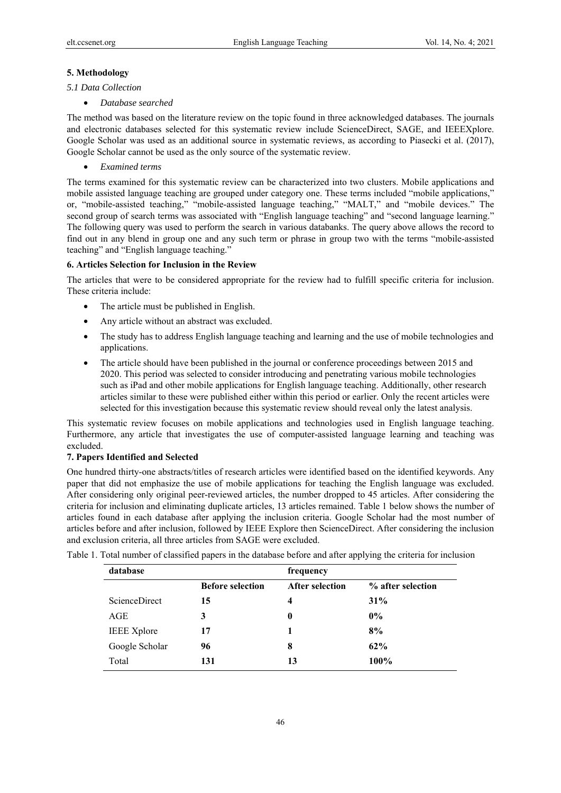#### **5. Methodology**

## *5.1 Data Collection*

• *Database searched* 

The method was based on the literature review on the topic found in three acknowledged databases. The journals and electronic databases selected for this systematic review include ScienceDirect, SAGE, and IEEEXplore. Google Scholar was used as an additional source in systematic reviews, as according to Piasecki et al. (2017), Google Scholar cannot be used as the only source of the systematic review.

• *Examined terms* 

The terms examined for this systematic review can be characterized into two clusters. Mobile applications and mobile assisted language teaching are grouped under category one. These terms included "mobile applications," or, "mobile-assisted teaching," "mobile-assisted language teaching," "MALT," and "mobile devices." The second group of search terms was associated with "English language teaching" and "second language learning." The following query was used to perform the search in various databanks. The query above allows the record to find out in any blend in group one and any such term or phrase in group two with the terms "mobile-assisted teaching" and "English language teaching."

## **6. Articles Selection for Inclusion in the Review**

The articles that were to be considered appropriate for the review had to fulfill specific criteria for inclusion. These criteria include:

- The article must be published in English.
- Any article without an abstract was excluded.
- The study has to address English language teaching and learning and the use of mobile technologies and applications.
- The article should have been published in the journal or conference proceedings between 2015 and 2020. This period was selected to consider introducing and penetrating various mobile technologies such as iPad and other mobile applications for English language teaching. Additionally, other research articles similar to these were published either within this period or earlier. Only the recent articles were selected for this investigation because this systematic review should reveal only the latest analysis.

This systematic review focuses on mobile applications and technologies used in English language teaching. Furthermore, any article that investigates the use of computer-assisted language learning and teaching was excluded.

#### **7. Papers Identified and Selected**

One hundred thirty-one abstracts/titles of research articles were identified based on the identified keywords. Any paper that did not emphasize the use of mobile applications for teaching the English language was excluded. After considering only original peer-reviewed articles, the number dropped to 45 articles. After considering the criteria for inclusion and eliminating duplicate articles, 13 articles remained. Table 1 below shows the number of articles found in each database after applying the inclusion criteria. Google Scholar had the most number of articles before and after inclusion, followed by IEEE Explore then ScienceDirect. After considering the inclusion and exclusion criteria, all three articles from SAGE were excluded.

| database             |                         | frequency              |                   |  |
|----------------------|-------------------------|------------------------|-------------------|--|
|                      | <b>Before selection</b> | <b>After selection</b> | % after selection |  |
| <b>ScienceDirect</b> | 15                      | 4                      | 31%               |  |
| AGE                  | 3                       | 0                      | $0\%$             |  |
| <b>IEEE</b> Xplore   | 17                      |                        | 8%                |  |
| Google Scholar       | 96                      | 8                      | $62\%$            |  |
| Total                | 131                     | 13                     | 100%              |  |

Table 1. Total number of classified papers in the database before and after applying the criteria for inclusion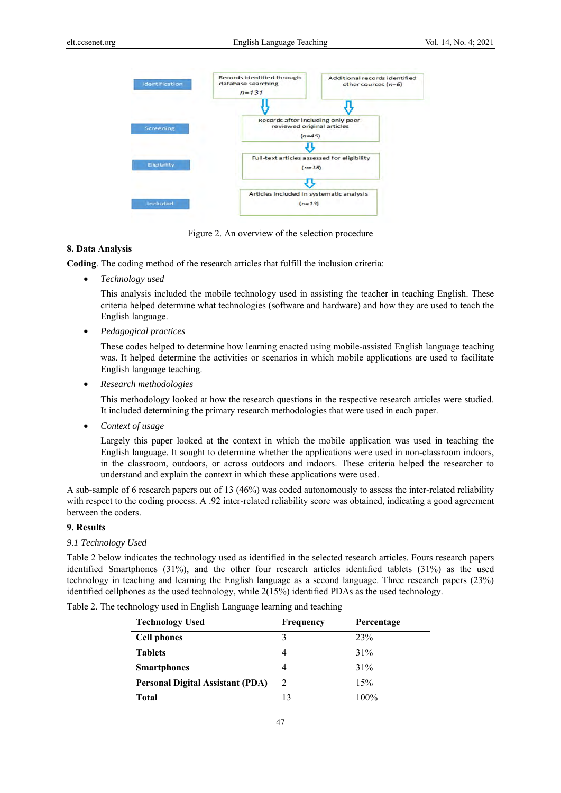

Figure 2. An overview of the selection procedure

## **8. Data Analysis**

**Coding**. The coding method of the research articles that fulfill the inclusion criteria:

• *Technology used*

This analysis included the mobile technology used in assisting the teacher in teaching English. These criteria helped determine what technologies (software and hardware) and how they are used to teach the English language.

• *Pedagogical practices* 

These codes helped to determine how learning enacted using mobile-assisted English language teaching was. It helped determine the activities or scenarios in which mobile applications are used to facilitate English language teaching.

• *Research methodologies* 

This methodology looked at how the research questions in the respective research articles were studied. It included determining the primary research methodologies that were used in each paper.

• *Context of usage* 

Largely this paper looked at the context in which the mobile application was used in teaching the English language. It sought to determine whether the applications were used in non-classroom indoors, in the classroom, outdoors, or across outdoors and indoors. These criteria helped the researcher to understand and explain the context in which these applications were used.

A sub-sample of 6 research papers out of 13 (46%) was coded autonomously to assess the inter-related reliability with respect to the coding process. A .92 inter-related reliability score was obtained, indicating a good agreement between the coders.

## **9. Results**

## *9.1 Technology Used*

Table 2 below indicates the technology used as identified in the selected research articles. Fours research papers identified Smartphones (31%), and the other four research articles identified tablets (31%) as the used technology in teaching and learning the English language as a second language. Three research papers (23%) identified cellphones as the used technology, while 2(15%) identified PDAs as the used technology.

| <b>Technology Used</b>                  | <b>Frequency</b> | Percentage |
|-----------------------------------------|------------------|------------|
| <b>Cell phones</b>                      | 3                | 23%        |
| <b>Tablets</b>                          | 4                | 31%        |
| <b>Smartphones</b>                      | 4                | 31%        |
| <b>Personal Digital Assistant (PDA)</b> | 2                | 15%        |
| Total                                   | 13               | $100\%$    |

Table 2. The technology used in English Language learning and teaching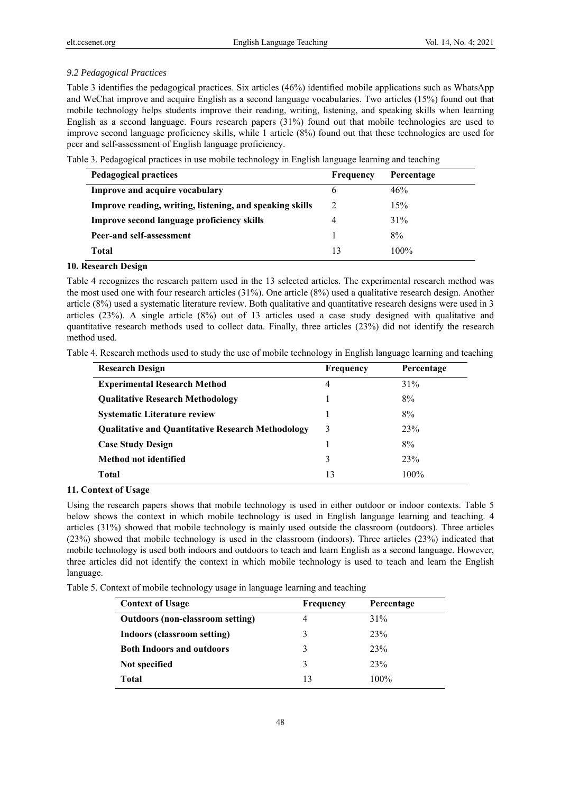## *9.2 Pedagogical Practices*

Table 3 identifies the pedagogical practices. Six articles (46%) identified mobile applications such as WhatsApp and WeChat improve and acquire English as a second language vocabularies. Two articles (15%) found out that mobile technology helps students improve their reading, writing, listening, and speaking skills when learning English as a second language. Fours research papers (31%) found out that mobile technologies are used to improve second language proficiency skills, while 1 article (8%) found out that these technologies are used for peer and self-assessment of English language proficiency.

Table 3. Pedagogical practices in use mobile technology in English language learning and teaching

| <b>Pedagogical practices</b>                             | Frequency | Percentage |
|----------------------------------------------------------|-----------|------------|
| Improve and acquire vocabulary                           | h         | 46%        |
| Improve reading, writing, listening, and speaking skills | 2         | 15%        |
| Improve second language proficiency skills               |           | 31%        |
| Peer-and self-assessment                                 |           | 8%         |
| Total                                                    | 13        | $100\%$    |

## **10. Research Design**

Table 4 recognizes the research pattern used in the 13 selected articles. The experimental research method was the most used one with four research articles (31%). One article (8%) used a qualitative research design. Another article (8%) used a systematic literature review. Both qualitative and quantitative research designs were used in 3 articles (23%). A single article (8%) out of 13 articles used a case study designed with qualitative and quantitative research methods used to collect data. Finally, three articles (23%) did not identify the research method used.

| Table 4. Research methods used to study the use of mobile technology in English language learning and teaching |  |  |
|----------------------------------------------------------------------------------------------------------------|--|--|
|                                                                                                                |  |  |

| <b>Research Design</b>                                   | <b>Frequency</b> | Percentage |
|----------------------------------------------------------|------------------|------------|
| <b>Experimental Research Method</b>                      | 4                | 31%        |
| <b>Qualitative Research Methodology</b>                  |                  | 8%         |
| <b>Systematic Literature review</b>                      |                  | 8%         |
| <b>Qualitative and Quantitative Research Methodology</b> | 3                | 23%        |
| <b>Case Study Design</b>                                 |                  | 8%         |
| Method not identified                                    | 3                | 23%        |
| Total                                                    | 13               | 100%       |

**11. Context of Usage** 

Using the research papers shows that mobile technology is used in either outdoor or indoor contexts. Table 5 below shows the context in which mobile technology is used in English language learning and teaching. 4 articles (31%) showed that mobile technology is mainly used outside the classroom (outdoors). Three articles (23%) showed that mobile technology is used in the classroom (indoors). Three articles (23%) indicated that mobile technology is used both indoors and outdoors to teach and learn English as a second language. However, three articles did not identify the context in which mobile technology is used to teach and learn the English language.

| Table 5. Context of mobile technology usage in language learning and teaching |  |  |  |
|-------------------------------------------------------------------------------|--|--|--|

| <b>Context of Usage</b>                 | Frequency | Percentage |
|-----------------------------------------|-----------|------------|
| <b>Outdoors (non-classroom setting)</b> |           | 31%        |
| <b>Indoors (classroom setting)</b>      |           | 23%        |
| <b>Both Indoors and outdoors</b>        |           | 23%        |
| Not specified                           | 3         | 23%        |
| Total                                   | 13        | $100\%$    |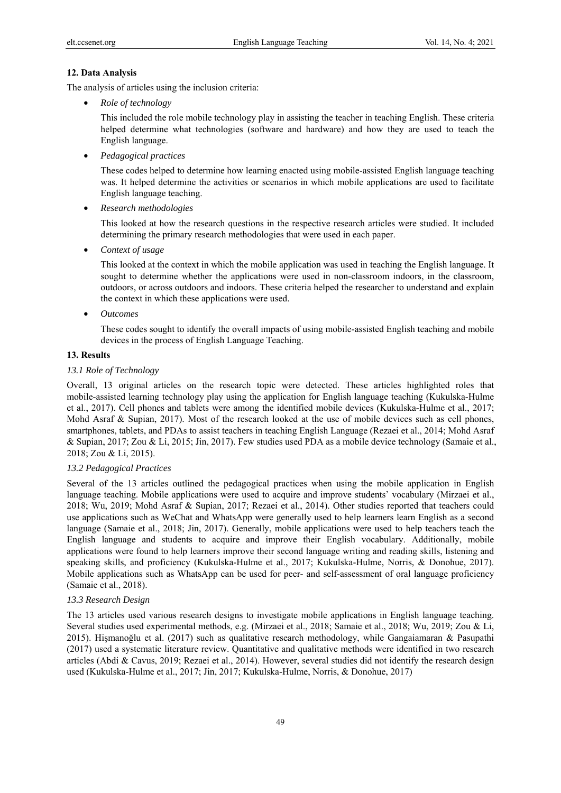### **12. Data Analysis**

The analysis of articles using the inclusion criteria:

• *Role of technology*

This included the role mobile technology play in assisting the teacher in teaching English. These criteria helped determine what technologies (software and hardware) and how they are used to teach the English language.

• *Pedagogical practices* 

These codes helped to determine how learning enacted using mobile-assisted English language teaching was. It helped determine the activities or scenarios in which mobile applications are used to facilitate English language teaching.

• *Research methodologies* 

This looked at how the research questions in the respective research articles were studied. It included determining the primary research methodologies that were used in each paper.

• *Context of usage* 

This looked at the context in which the mobile application was used in teaching the English language. It sought to determine whether the applications were used in non-classroom indoors, in the classroom, outdoors, or across outdoors and indoors. These criteria helped the researcher to understand and explain the context in which these applications were used.

• *Outcomes* 

These codes sought to identify the overall impacts of using mobile-assisted English teaching and mobile devices in the process of English Language Teaching.

## **13. Results**

## *13.1 Role of Technology*

Overall, 13 original articles on the research topic were detected. These articles highlighted roles that mobile-assisted learning technology play using the application for English language teaching (Kukulska-Hulme et al., 2017). Cell phones and tablets were among the identified mobile devices (Kukulska-Hulme et al., 2017; Mohd Asraf & Supian, 2017). Most of the research looked at the use of mobile devices such as cell phones, smartphones, tablets, and PDAs to assist teachers in teaching English Language (Rezaei et al., 2014; Mohd Asraf & Supian, 2017; Zou & Li, 2015; Jin, 2017). Few studies used PDA as a mobile device technology (Samaie et al., 2018; Zou & Li, 2015).

## *13.2 Pedagogical Practices*

Several of the 13 articles outlined the pedagogical practices when using the mobile application in English language teaching. Mobile applications were used to acquire and improve students' vocabulary (Mirzaei et al., 2018; Wu, 2019; Mohd Asraf & Supian, 2017; Rezaei et al., 2014). Other studies reported that teachers could use applications such as WeChat and WhatsApp were generally used to help learners learn English as a second language (Samaie et al., 2018; Jin, 2017). Generally, mobile applications were used to help teachers teach the English language and students to acquire and improve their English vocabulary. Additionally, mobile applications were found to help learners improve their second language writing and reading skills, listening and speaking skills, and proficiency (Kukulska-Hulme et al., 2017; Kukulska-Hulme, Norris, & Donohue, 2017). Mobile applications such as WhatsApp can be used for peer- and self-assessment of oral language proficiency (Samaie et al., 2018).

## *13.3 Research Design*

The 13 articles used various research designs to investigate mobile applications in English language teaching. Several studies used experimental methods, e.g. (Mirzaei et al., 2018; Samaie et al., 2018; Wu, 2019; Zou & Li, 2015). Hişmanoğlu et al. (2017) such as qualitative research methodology, while Gangaiamaran & Pasupathi (2017) used a systematic literature review. Quantitative and qualitative methods were identified in two research articles (Abdi & Cavus, 2019; Rezaei et al., 2014). However, several studies did not identify the research design used (Kukulska-Hulme et al., 2017; Jin, 2017; Kukulska-Hulme, Norris, & Donohue, 2017)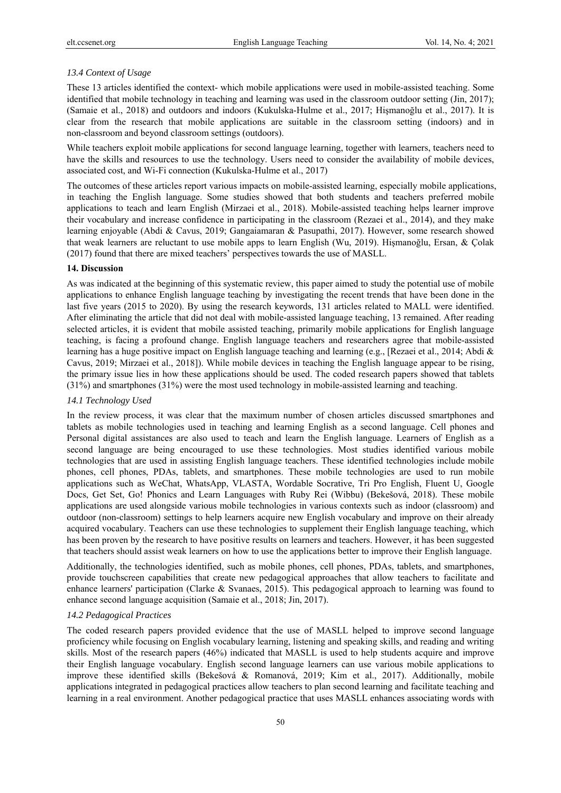#### *13.4 Context of Usage*

These 13 articles identified the context- which mobile applications were used in mobile-assisted teaching. Some identified that mobile technology in teaching and learning was used in the classroom outdoor setting (Jin, 2017); (Samaie et al., 2018) and outdoors and indoors (Kukulska-Hulme et al., 2017; Hişmanoğlu et al., 2017). It is clear from the research that mobile applications are suitable in the classroom setting (indoors) and in non-classroom and beyond classroom settings (outdoors).

While teachers exploit mobile applications for second language learning, together with learners, teachers need to have the skills and resources to use the technology. Users need to consider the availability of mobile devices, associated cost, and Wi-Fi connection (Kukulska-Hulme et al., 2017)

The outcomes of these articles report various impacts on mobile-assisted learning, especially mobile applications, in teaching the English language. Some studies showed that both students and teachers preferred mobile applications to teach and learn English (Mirzaei et al., 2018). Mobile-assisted teaching helps learner improve their vocabulary and increase confidence in participating in the classroom (Rezaei et al., 2014), and they make learning enjoyable (Abdi & Cavus, 2019; Gangaiamaran & Pasupathi, 2017). However, some research showed that weak learners are reluctant to use mobile apps to learn English (Wu, 2019). Hişmanoğlu, Ersan, & Çolak (2017) found that there are mixed teachers' perspectives towards the use of MASLL.

#### **14. Discussion**

As was indicated at the beginning of this systematic review, this paper aimed to study the potential use of mobile applications to enhance English language teaching by investigating the recent trends that have been done in the last five years (2015 to 2020). By using the research keywords, 131 articles related to MALL were identified. After eliminating the article that did not deal with mobile-assisted language teaching, 13 remained. After reading selected articles, it is evident that mobile assisted teaching, primarily mobile applications for English language teaching, is facing a profound change. English language teachers and researchers agree that mobile-assisted learning has a huge positive impact on English language teaching and learning (e.g., [Rezaei et al., 2014; Abdi & Cavus, 2019; Mirzaei et al., 2018]). While mobile devices in teaching the English language appear to be rising, the primary issue lies in how these applications should be used. The coded research papers showed that tablets (31%) and smartphones (31%) were the most used technology in mobile-assisted learning and teaching.

#### *14.1 Technology Used*

In the review process, it was clear that the maximum number of chosen articles discussed smartphones and tablets as mobile technologies used in teaching and learning English as a second language. Cell phones and Personal digital assistances are also used to teach and learn the English language. Learners of English as a second language are being encouraged to use these technologies. Most studies identified various mobile technologies that are used in assisting English language teachers. These identified technologies include mobile phones, cell phones, PDAs, tablets, and smartphones. These mobile technologies are used to run mobile applications such as WeChat, WhatsApp, VLASTA, Wordable Socrative, Tri Pro English, Fluent U, Google Docs, Get Set, Go! Phonics and Learn Languages with Ruby Rei (Wibbu) (Bekešová, 2018). These mobile applications are used alongside various mobile technologies in various contexts such as indoor (classroom) and outdoor (non-classroom) settings to help learners acquire new English vocabulary and improve on their already acquired vocabulary. Teachers can use these technologies to supplement their English language teaching, which has been proven by the research to have positive results on learners and teachers. However, it has been suggested that teachers should assist weak learners on how to use the applications better to improve their English language.

Additionally, the technologies identified, such as mobile phones, cell phones, PDAs, tablets, and smartphones, provide touchscreen capabilities that create new pedagogical approaches that allow teachers to facilitate and enhance learners' participation (Clarke & Svanaes, 2015). This pedagogical approach to learning was found to enhance second language acquisition (Samaie et al., 2018; Jin, 2017).

### *14.2 Pedagogical Practices*

The coded research papers provided evidence that the use of MASLL helped to improve second language proficiency while focusing on English vocabulary learning, listening and speaking skills, and reading and writing skills. Most of the research papers (46%) indicated that MASLL is used to help students acquire and improve their English language vocabulary. English second language learners can use various mobile applications to improve these identified skills (Bekešová & Romanová, 2019; Kim et al., 2017). Additionally, mobile applications integrated in pedagogical practices allow teachers to plan second learning and facilitate teaching and learning in a real environment. Another pedagogical practice that uses MASLL enhances associating words with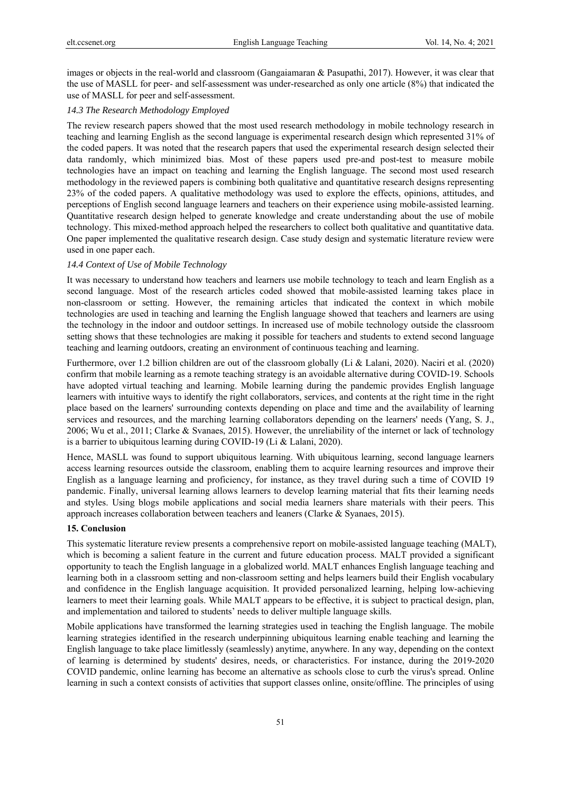images or objects in the real-world and classroom (Gangaiamaran & Pasupathi, 2017). However, it was clear that the use of MASLL for peer- and self-assessment was under-researched as only one article (8%) that indicated the use of MASLL for peer and self-assessment.

### *14.3 The Research Methodology Employed*

The review research papers showed that the most used research methodology in mobile technology research in teaching and learning English as the second language is experimental research design which represented 31% of the coded papers. It was noted that the research papers that used the experimental research design selected their data randomly, which minimized bias. Most of these papers used pre-and post-test to measure mobile technologies have an impact on teaching and learning the English language. The second most used research methodology in the reviewed papers is combining both qualitative and quantitative research designs representing 23% of the coded papers. A qualitative methodology was used to explore the effects, opinions, attitudes, and perceptions of English second language learners and teachers on their experience using mobile-assisted learning. Quantitative research design helped to generate knowledge and create understanding about the use of mobile technology. This mixed-method approach helped the researchers to collect both qualitative and quantitative data. One paper implemented the qualitative research design. Case study design and systematic literature review were used in one paper each.

#### *14.4 Context of Use of Mobile Technology*

It was necessary to understand how teachers and learners use mobile technology to teach and learn English as a second language. Most of the research articles coded showed that mobile-assisted learning takes place in non-classroom or setting. However, the remaining articles that indicated the context in which mobile technologies are used in teaching and learning the English language showed that teachers and learners are using the technology in the indoor and outdoor settings. In increased use of mobile technology outside the classroom setting shows that these technologies are making it possible for teachers and students to extend second language teaching and learning outdoors, creating an environment of continuous teaching and learning.

Furthermore, over 1.2 billion children are out of the classroom globally (Li & Lalani, 2020). Naciri et al. (2020) confirm that mobile learning as a remote teaching strategy is an avoidable alternative during COVID-19. Schools have adopted virtual teaching and learning. Mobile learning during the pandemic provides English language learners with intuitive ways to identify the right collaborators, services, and contents at the right time in the right place based on the learners' surrounding contexts depending on place and time and the availability of learning services and resources, and the marching learning collaborators depending on the learners' needs (Yang, S. J., 2006; Wu et al., 2011; Clarke & Svanaes, 2015). However, the unreliability of the internet or lack of technology is a barrier to ubiquitous learning during COVID-19 (Li & Lalani, 2020).

Hence, MASLL was found to support ubiquitous learning. With ubiquitous learning, second language learners access learning resources outside the classroom, enabling them to acquire learning resources and improve their English as a language learning and proficiency, for instance, as they travel during such a time of COVID 19 pandemic. Finally, universal learning allows learners to develop learning material that fits their learning needs and styles. Using blogs mobile applications and social media learners share materials with their peers. This approach increases collaboration between teachers and leaners (Clarke & Syanaes, 2015).

## **15. Conclusion**

This systematic literature review presents a comprehensive report on mobile-assisted language teaching (MALT), which is becoming a salient feature in the current and future education process. MALT provided a significant opportunity to teach the English language in a globalized world. MALT enhances English language teaching and learning both in a classroom setting and non-classroom setting and helps learners build their English vocabulary and confidence in the English language acquisition. It provided personalized learning, helping low-achieving learners to meet their learning goals. While MALT appears to be effective, it is subject to practical design, plan, and implementation and tailored to students' needs to deliver multiple language skills.

Mobile applications have transformed the learning strategies used in teaching the English language. The mobile learning strategies identified in the research underpinning ubiquitous learning enable teaching and learning the English language to take place limitlessly (seamlessly) anytime, anywhere. In any way, depending on the context of learning is determined by students' desires, needs, or characteristics. For instance, during the 2019-2020 COVID pandemic, online learning has become an alternative as schools close to curb the virus's spread. Online learning in such a context consists of activities that support classes online, onsite/offline. The principles of using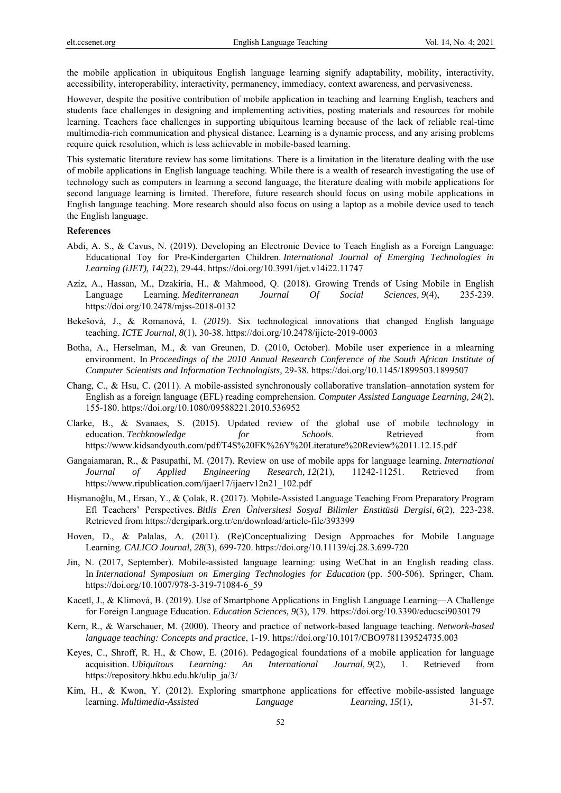the mobile application in ubiquitous English language learning signify adaptability, mobility, interactivity, accessibility, interoperability, interactivity, permanency, immediacy, context awareness, and pervasiveness.

However, despite the positive contribution of mobile application in teaching and learning English, teachers and students face challenges in designing and implementing activities, posting materials and resources for mobile learning. Teachers face challenges in supporting ubiquitous learning because of the lack of reliable real-time multimedia-rich communication and physical distance. Learning is a dynamic process, and any arising problems require quick resolution, which is less achievable in mobile-based learning.

This systematic literature review has some limitations. There is a limitation in the literature dealing with the use of mobile applications in English language teaching. While there is a wealth of research investigating the use of technology such as computers in learning a second language, the literature dealing with mobile applications for second language learning is limited. Therefore, future research should focus on using mobile applications in English language teaching. More research should also focus on using a laptop as a mobile device used to teach the English language.

# **References**

- Abdi, A. S., & Cavus, N. (2019). Developing an Electronic Device to Teach English as a Foreign Language: Educational Toy for Pre-Kindergarten Children. *International Journal of Emerging Technologies in Learning (iJET), 14*(22), 29-44. https://doi.org/10.3991/ijet.v14i22.11747
- Aziz, A., Hassan, M., Dzakiria, H., & Mahmood, Q. (2018). Growing Trends of Using Mobile in English Language Learning. *Mediterranean Journal Of Social Sciences, 9*(4), 235-239. https://doi.org/10.2478/mjss-2018-0132
- Bekešová, J., & Romanová, I. (*2019*). Six technological innovations that changed English language teaching. *ICTE Journal, 8*(1), 30-38. https://doi.org/10.2478/ijicte-2019-0003
- Botha, A., Herselman, M., & van Greunen, D. (2010, October). Mobile user experience in a mlearning environment. In *Proceedings of the 2010 Annual Research Conference of the South African Institute of Computer Scientists and Information Technologists,* 29-38. https://doi.org/10.1145/1899503.1899507
- Chang, C., & Hsu, C. (2011). A mobile-assisted synchronously collaborative translation–annotation system for English as a foreign language (EFL) reading comprehension. *Computer Assisted Language Learning, 24*(2), 155-180. https://doi.org/10.1080/09588221.2010.536952
- Clarke, B., & Svanaes, S. (2015). Updated review of the global use of mobile technology in education. *Techknowledge* for *Schools*. Retrieved from https://www.kidsandyouth.com/pdf/T4S%20FK%26Y%20Literature%20Review%2011.12.15.pdf
- Gangaiamaran, R., & Pasupathi, M. (2017). Review on use of mobile apps for language learning. *International Journal of Applied Engineering Research, 12*(21), 11242-11251. Retrieved from https://www.ripublication.com/ijaer17/ijaerv12n21\_102.pdf
- Hişmanoğlu, M., Ersan, Y., & Çolak, R. (2017). Mobile-Assisted Language Teaching From Preparatory Program Efl Teachers' Perspectives. *Bitlis Eren Üniversitesi Sosyal Bilimler Enstitüsü Dergisi, 6*(2), 223-238. Retrieved from https://dergipark.org.tr/en/download/article-file/393399
- Hoven, D., & Palalas, A. (2011). (Re)Conceptualizing Design Approaches for Mobile Language Learning. *CALICO Journal, 28*(3), 699-720. https://doi.org/10.11139/cj.28.3.699-720
- Jin, N. (2017, September). Mobile-assisted language learning: using WeChat in an English reading class. In *International Symposium on Emerging Technologies for Education* (pp. 500-506). Springer, Cham. https://doi.org/10.1007/978-3-319-71084-6\_59
- Kacetl, J., & Klímová, B. (2019). Use of Smartphone Applications in English Language Learning—A Challenge for Foreign Language Education. *Education Sciences, 9*(3), 179. https://doi.org/10.3390/educsci9030179
- Kern, R., & Warschauer, M. (2000). Theory and practice of network-based language teaching. *Network-based language teaching: Concepts and practice*, 1-19. https://doi.org/10.1017/CBO9781139524735.003
- Keyes, C., Shroff, R. H., & Chow, E. (2016). Pedagogical foundations of a mobile application for language acquisition. *Ubiquitous Learning: An International Journal, 9*(2), 1. Retrieved from https://repository.hkbu.edu.hk/ulip\_ja/3/
- Kim, H., & Kwon, Y. (2012). Exploring smartphone applications for effective mobile-assisted language learning. *Multimedia-Assisted Language Learning, 15*(1), 31-57.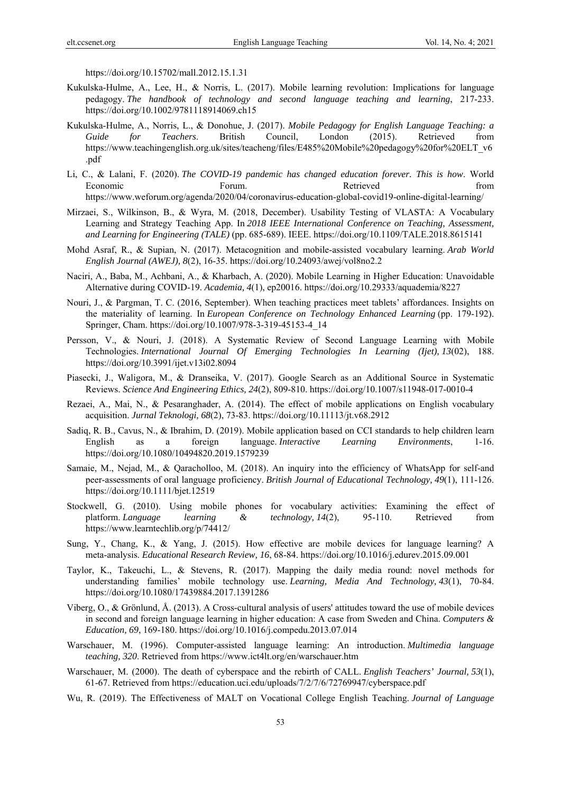https://doi.org/10.15702/mall.2012.15.1.31

- Kukulska-Hulme, A., Lee, H., & Norris, L. (2017). Mobile learning revolution: Implications for language pedagogy. *The handbook of technology and second language teaching and learning*, 217-233. https://doi.org/10.1002/9781118914069.ch15
- Kukulska-Hulme, A., Norris, L., & Donohue, J. (2017). *Mobile Pedagogy for English Language Teaching: a Guide for Teachers*. British Council, London (2015). Retrieved from https://www.teachingenglish.org.uk/sites/teacheng/files/E485%20Mobile%20pedagogy%20for%20ELT\_v6 .pdf
- Li, C., & Lalani, F. (2020). *The COVID-19 pandemic has changed education forever. This is how*. World Economic Forum. Forum. Retrieved from from https://www.weforum.org/agenda/2020/04/coronavirus-education-global-covid19-online-digital-learning/
- Mirzaei, S., Wilkinson, B., & Wyra, M. (2018, December). Usability Testing of VLASTA: A Vocabulary Learning and Strategy Teaching App. In *2018 IEEE International Conference on Teaching, Assessment, and Learning for Engineering (TALE)* (pp. 685-689). IEEE. https://doi.org/10.1109/TALE.2018.8615141
- Mohd Asraf, R., & Supian, N. (2017). Metacognition and mobile-assisted vocabulary learning. *Arab World English Journal (AWEJ), 8*(2), 16-35. https://doi.org/10.24093/awej/vol8no2.2
- Naciri, A., Baba, M., Achbani, A., & Kharbach, A. (2020). Mobile Learning in Higher Education: Unavoidable Alternative during COVID-19. *Academia, 4*(1), ep20016. https://doi.org/10.29333/aquademia/8227
- Nouri, J., & Pargman, T. C. (2016, September). When teaching practices meet tablets' affordances. Insights on the materiality of learning. In *European Conference on Technology Enhanced Learning* (pp. 179-192). Springer, Cham. https://doi.org/10.1007/978-3-319-45153-4\_14
- Persson, V., & Nouri, J. (2018). A Systematic Review of Second Language Learning with Mobile Technologies. *International Journal Of Emerging Technologies In Learning (Ijet), 13*(02), 188. https://doi.org/10.3991/ijet.v13i02.8094
- Piasecki, J., Waligora, M., & Dranseika, V. (2017). Google Search as an Additional Source in Systematic Reviews. *Science And Engineering Ethics, 24*(2), 809-810. https://doi.org/10.1007/s11948-017-0010-4
- Rezaei, A., Mai, N., & Pesaranghader, A. (2014). The effect of mobile applications on English vocabulary acquisition. *Jurnal Teknologi, 68*(2), 73-83. https://doi.org/10.11113/jt.v68.2912
- Sadiq, R. B., Cavus, N., & Ibrahim, D. (2019). Mobile application based on CCI standards to help children learn English as a foreign language. *Interactive Learning Environments*, 1-16. https://doi.org/10.1080/10494820.2019.1579239
- Samaie, M., Nejad, M., & Qaracholloo, M. (2018). An inquiry into the efficiency of WhatsApp for self-and peer‐assessments of oral language proficiency. *British Journal of Educational Technology, 49*(1), 111-126. https://doi.org/10.1111/bjet.12519
- Stockwell, G. (2010). Using mobile phones for vocabulary activities: Examining the effect of platform. *Language learning & technology, 14*(2), 95-110. Retrieved from https://www.learntechlib.org/p/74412/
- Sung, Y., Chang, K., & Yang, J. (2015). How effective are mobile devices for language learning? A meta-analysis. *Educational Research Review, 16*, 68-84. https://doi.org/10.1016/j.edurev.2015.09.001
- Taylor, K., Takeuchi, L., & Stevens, R. (2017). Mapping the daily media round: novel methods for understanding families' mobile technology use. *Learning, Media And Technology, 43*(1), 70-84. https://doi.org/10.1080/17439884.2017.1391286
- Viberg, O., & Grönlund, Å. (2013). A Cross-cultural analysis of users' attitudes toward the use of mobile devices in second and foreign language learning in higher education: A case from Sweden and China. *Computers & Education, 69*, 169-180. https://doi.org/10.1016/j.compedu.2013.07.014
- Warschauer, M. (1996). Computer-assisted language learning: An introduction. *Multimedia language teaching, 320*. Retrieved from https://www.ict4lt.org/en/warschauer.htm
- Warschauer, M. (2000). The death of cyberspace and the rebirth of CALL. *English Teachers' Journal, 53*(1), 61-67. Retrieved from https://education.uci.edu/uploads/7/2/7/6/72769947/cyberspace.pdf
- Wu, R. (2019). The Effectiveness of MALT on Vocational College English Teaching. *Journal of Language*